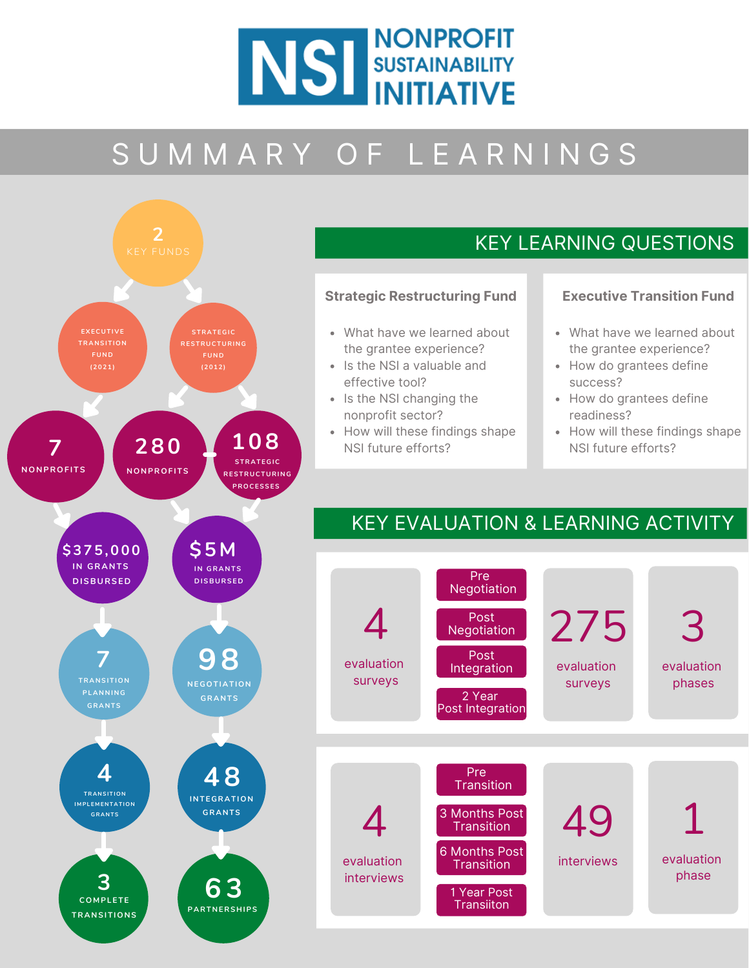

# S U M M A R Y O F L E A R N I N G S



### KEY LEARNING QUESTIONS

#### **Strategic Restructuring Fund**

- What have we learned about the grantee experience?
- Is the NSI a valuable and effective tool?
- Is the NSI changing the nonprofit sector?
- How will these findings shape NSI future efforts?

#### **Executive Transition Fund**

- What have we learned about the grantee experience?
- How do grantees define success?
- How do grantees define readiness?
- How will these findings shape NSI future efforts?

### KEY EVALUATION & LEARNING ACTIVITY

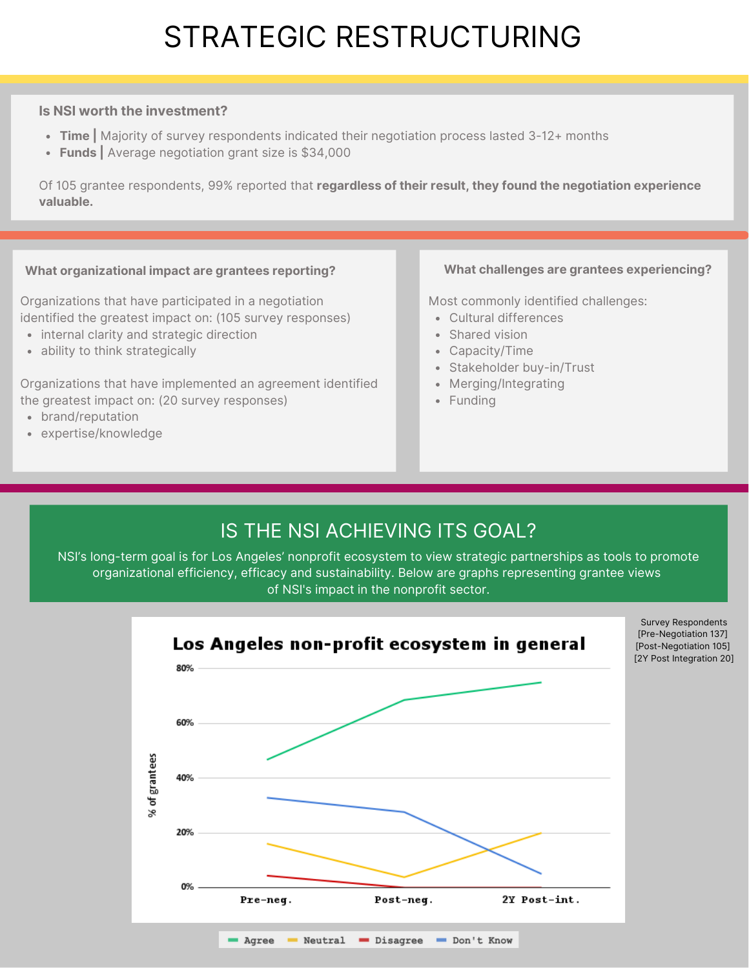## STRATEGIC RESTRUCTURING

#### **Is NSI worth the investment?**

- **Time |** Majority of survey respondents indicated their negotiation process lasted 3-12+ months
- **Funds |** Average negotiation grant size is \$34,000

Of 105 grantee respondents, 99% reported that **regardless of their result, they found the negotiation experience valuable.**

#### **What organizational impact are grantees reporting?**

Organizations that have participated in a negotiation identified the greatest impact on: (105 survey responses)

- internal clarity and strategic direction
- ability to think strategically

Organizations that have implemented an agreement identified the greatest impact on: (20 survey responses)

- brand/reputation
- expertise/knowledge

#### **What challenges are grantees experiencing?**

Most commonly identified challenges:

- Cultural differences
- Shared vision
- Capacity/Time
- Stakeholder buy-in/Trust
- Merging/Integrating
- Funding

### IS THE NSI ACHIEVING ITS GOAL?

NSI's long-term goal is for Los Angeles' nonprofit ecosystem to view strategic partnerships as tools to promote organizational efficiency, efficacy and sustainability. Below are graphs representing grantee views of NSI's impact in the nonprofit sector.



Survey Respondents [Pre-Negotiation 137] [Post-Negotiation 105] [2Y Post Integration 20]